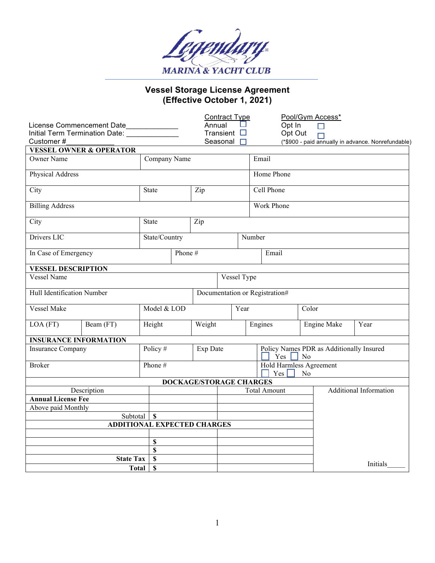

## **Vessel Storage License Agreement (Effective October 1, 2021)**

|                                                                 |                                    |                                    |                                |                                                    | <b>Contract Type</b> |        |                                      | Pool/Gym Access*    |                                          |                                                    |  |
|-----------------------------------------------------------------|------------------------------------|------------------------------------|--------------------------------|----------------------------------------------------|----------------------|--------|--------------------------------------|---------------------|------------------------------------------|----------------------------------------------------|--|
| License Commencement Date<br>Initial Term Termination Date: ___ |                                    |                                    |                                | Annual<br>Opt In<br>Transient $\square$<br>Opt Out |                      |        |                                      |                     |                                          |                                                    |  |
| Customer#                                                       |                                    |                                    | Seasonal<br>П                  |                                                    |                      |        |                                      |                     |                                          | (*\$900 - paid annually in advance. Nonrefundable) |  |
|                                                                 | <b>VESSEL OWNER &amp; OPERATOR</b> |                                    |                                |                                                    |                      |        |                                      |                     |                                          |                                                    |  |
| <b>Owner Name</b>                                               |                                    |                                    | Company Name                   |                                                    |                      |        | Email                                |                     |                                          |                                                    |  |
| Physical Address                                                |                                    |                                    |                                |                                                    |                      |        | Home Phone                           |                     |                                          |                                                    |  |
| City                                                            |                                    | <b>State</b>                       |                                | Zip                                                |                      |        | Cell Phone                           |                     |                                          |                                                    |  |
| <b>Billing Address</b>                                          |                                    |                                    |                                |                                                    |                      |        | <b>Work Phone</b>                    |                     |                                          |                                                    |  |
| City                                                            |                                    | State                              |                                |                                                    | Zip                  |        |                                      |                     |                                          |                                                    |  |
| Drivers LIC                                                     |                                    | State/Country                      |                                |                                                    |                      | Number |                                      |                     |                                          |                                                    |  |
| In Case of Emergency                                            |                                    |                                    | Phone #                        |                                                    |                      |        | Email                                |                     |                                          |                                                    |  |
| <b>VESSEL DESCRIPTION</b>                                       |                                    |                                    |                                |                                                    |                      |        |                                      |                     |                                          |                                                    |  |
| <b>Vessel Name</b>                                              |                                    |                                    |                                | Vessel Type                                        |                      |        |                                      |                     |                                          |                                                    |  |
| Hull Identification Number                                      |                                    |                                    | Documentation or Registration# |                                                    |                      |        |                                      |                     |                                          |                                                    |  |
| Vessel Make                                                     |                                    | Model & LOD                        |                                |                                                    |                      | Year   |                                      | Color               |                                          |                                                    |  |
| LOA (FT)                                                        | Beam (FT)                          | Height                             |                                | Weight                                             |                      |        | Engines                              | Year<br>Engine Make |                                          |                                                    |  |
| <b>INSURANCE INFORMATION</b>                                    |                                    |                                    |                                |                                                    |                      |        |                                      |                     |                                          |                                                    |  |
| Insurance Company                                               |                                    | Policy #                           |                                |                                                    | Exp Date             |        | $Yes \tN$                            |                     | Policy Names PDR as Additionally Insured |                                                    |  |
| <b>Broker</b>                                                   |                                    | Phone #                            |                                |                                                    |                      |        | Hold Harmless Agreement<br>Yes<br>No |                     |                                          |                                                    |  |
|                                                                 |                                    |                                    |                                | DOCKAGE/STORAGE CHARGES                            |                      |        |                                      |                     |                                          |                                                    |  |
| Description                                                     |                                    |                                    |                                |                                                    |                      |        | <b>Total Amount</b>                  |                     | <b>Additional Information</b>            |                                                    |  |
| <b>Annual License Fee</b>                                       |                                    |                                    |                                |                                                    |                      |        |                                      |                     |                                          |                                                    |  |
| Above paid Monthly                                              |                                    |                                    |                                |                                                    |                      |        |                                      |                     |                                          |                                                    |  |
| Subtotal<br>$\mathbf S$                                         |                                    |                                    |                                |                                                    |                      |        |                                      |                     |                                          |                                                    |  |
|                                                                 |                                    | <b>ADDITIONAL EXPECTED CHARGES</b> |                                |                                                    |                      |        |                                      |                     |                                          |                                                    |  |
|                                                                 |                                    |                                    |                                |                                                    |                      |        |                                      |                     |                                          |                                                    |  |
|                                                                 |                                    |                                    | \$                             |                                                    |                      |        |                                      |                     |                                          |                                                    |  |
|                                                                 |                                    |                                    | \$                             |                                                    |                      |        |                                      |                     |                                          |                                                    |  |
| <b>State Tax</b>                                                |                                    |                                    | $\mathbb S$<br>$\mathbf S$     |                                                    |                      |        |                                      |                     |                                          | Initials                                           |  |
| Total                                                           |                                    |                                    |                                |                                                    |                      |        |                                      |                     |                                          |                                                    |  |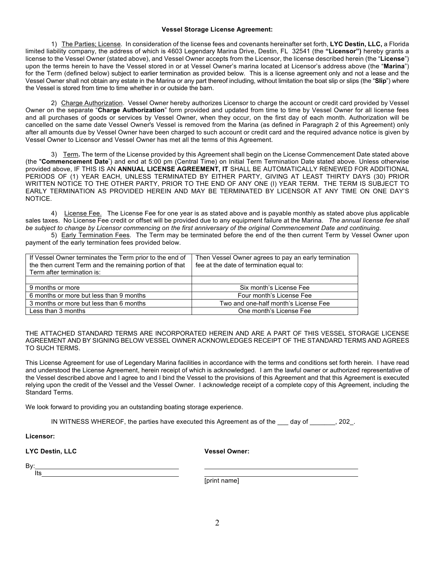## **Vessel Storage License Agreement:**

1) The Parties; License. In consideration of the license fees and covenants hereinafter set forth, **LYC Destin, LLC,** a Florida limited liability company, the address of which is 4603 Legendary Marina Drive, Destin, FL 32541 (the **"Licensor")** hereby grants a license to the Vessel Owner (stated above), and Vessel Owner accepts from the Licensor, the license described herein (the "**License**") upon the terms herein to have the Vessel stored in or at Vessel Owner's marina located at Licensor's address above (the "**Marina**") for the Term (defined below) subject to earlier termination as provided below. This is a license agreement only and not a lease and the Vessel Owner shall not obtain any estate in the Marina or any part thereof including, without limitation the boat slip or slips (the "**Slip**") where the Vessel is stored from time to time whether in or outside the barn.

2) Charge Authorization. Vessel Owner hereby authorizes Licensor to charge the account or credit card provided by Vessel Owner on the separate "**Charge Authorization**" form provided and updated from time to time by Vessel Owner for all license fees and all purchases of goods or services by Vessel Owner, when they occur, on the first day of each month. Authorization will be cancelled on the same date Vessel Owner's Vessel is removed from the Marina (as defined in Paragraph 2 of this Agreement) only after all amounts due by Vessel Owner have been charged to such account or credit card and the required advance notice is given by Vessel Owner to Licensor and Vessel Owner has met all the terms of this Agreement.

3) Term**.** The term of the License provided by this Agreement shall begin on the License Commencement Date stated above (the "**Commencement Date**" ) and end at 5:00 pm (Central Time) on Initial Term Termination Date stated above. Unless otherwise provided above, IF THIS IS AN **ANNUAL LICENSE AGREEMENT, IT** SHALL BE AUTOMATICALLY RENEWED FOR ADDITIONAL PERIODS OF (1) YEAR EACH, UNLESS TERMINATED BY EITHER PARTY, GIVING AT LEAST THIRTY DAYS (30) PRIOR WRITTEN NOTICE TO THE OTHER PARTY, PRIOR TO THE END OF ANY ONE (I) YEAR TERM. THE TERM IS SUBJECT TO EARLY TERMINATION AS PROVIDED HEREIN AND MAY BE TERMINATED BY LICENSOR AT ANY TIME ON ONE DAY'S NOTICE.

4)License Fee.The License Fee for one year is as stated above and is payable monthly as stated above plus applicable sales taxes. No License Fee credit or offset will be provided due to any equipment failure at the Marina. *The annual license fee shall be subject to change by Licensor commencing on the first anniversary of the original Commencement Date and continuing.*

5)Early Termination Fees. The Term may be terminated before the end of the then current Term by Vessel Owner upon payment of the early termination fees provided below.

| If Vessel Owner terminates the Term prior to the end of | Then Vessel Owner agrees to pay an early termination |  |  |  |  |  |
|---------------------------------------------------------|------------------------------------------------------|--|--|--|--|--|
| the then current Term and the remaining portion of that | fee at the date of termination equal to:             |  |  |  |  |  |
| Term after termination is:                              |                                                      |  |  |  |  |  |
|                                                         |                                                      |  |  |  |  |  |
| 9 months or more                                        | Six month's License Fee                              |  |  |  |  |  |
| 6 months or more but less than 9 months                 | Four month's License Fee                             |  |  |  |  |  |
| 3 months or more but less than 6 months                 | Two and one-half month's License Fee                 |  |  |  |  |  |
| Less than 3 months                                      | One month's License Fee                              |  |  |  |  |  |

THE ATTACHED STANDARD TERMS ARE INCORPORATED HEREIN AND ARE A PART OF THIS VESSEL STORAGE LICENSE AGREEMENT AND BY SIGNING BELOW VESSEL OWNER ACKNOWLEDGES RECEIPT OF THE STANDARD TERMS AND AGREES TO SUCH TERMS.

This License Agreement for use of Legendary Marina facilities in accordance with the terms and conditions set forth herein. I have read and understood the License Agreement, herein receipt of which is acknowledged. I am the lawful owner or authorized representative of the Vessel described above and I agree to and I bind the Vessel to the provisions of this Agreement and that this Agreement is executed relying upon the credit of the Vessel and the Vessel Owner. I acknowledge receipt of a complete copy of this Agreement, including the Standard Terms.

We look forward to providing you an outstanding boating storage experience.

IN WITNESS WHEREOF, the parties have executed this Agreement as of the \_\_\_ day of \_\_\_\_\_\_, 202.

**Licensor:**

**LYC Destin, LLC Vessel Owner:**

By: Its

[print name]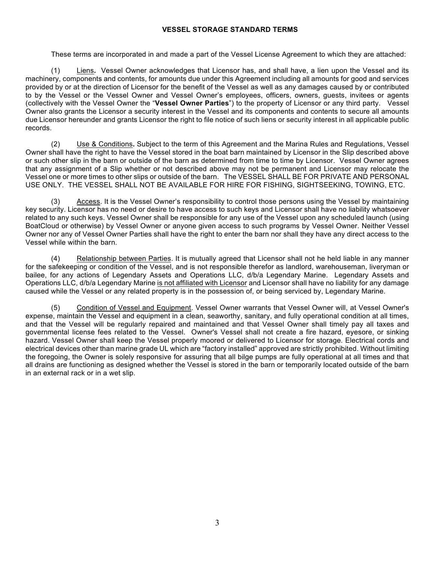## **VESSEL STORAGE STANDARD TERMS**

These terms are incorporated in and made a part of the Vessel License Agreement to which they are attached:

(1) Liens**.** Vessel Owner acknowledges that Licensor has, and shall have, a lien upon the Vessel and its machinery, components and contents, for amounts due under this Agreement including all amounts for good and services provided by or at the direction of Licensor for the benefit of the Vessel as well as any damages caused by or contributed to by the Vessel or the Vessel Owner and Vessel Owner's employees, officers, owners, guests, invitees or agents (collectively with the Vessel Owner the "**Vessel Owner Parties**") to the property of Licensor or any third party. Vessel Owner also grants the Licensor a security interest in the Vessel and its components and contents to secure all amounts due Licensor hereunder and grants Licensor the right to file notice of such liens or security interest in all applicable public records.

(2) Use & Conditions**.** Subject to the term of this Agreement and the Marina Rules and Regulations, Vessel Owner shall have the right to have the Vessel stored in the boat barn maintained by Licensor in the Slip described above or such other slip in the barn or outside of the barn as determined from time to time by Licensor. Vessel Owner agrees that any assignment of a Slip whether or not described above may not be permanent and Licensor may relocate the Vessel one or more times to other slips or outside of the barn. The VESSEL SHALL BE FOR PRIVATE AND PERSONAL USE ONLY. THE VESSEL SHALL NOT BE AVAILABLE FOR HIRE FOR FISHING, SIGHTSEEKING, TOWING, ETC.

(3) Access. It is the Vessel Owner's responsibility to control those persons using the Vessel by maintaining key security. Licensor has no need or desire to have access to such keys and Licensor shall have no liability whatsoever related to any such keys. Vessel Owner shall be responsible for any use of the Vessel upon any scheduled launch (using BoatCloud or otherwise) by Vessel Owner or anyone given access to such programs by Vessel Owner. Neither Vessel Owner nor any of Vessel Owner Parties shall have the right to enter the barn nor shall they have any direct access to the Vessel while within the barn.

(4) Relationship between Parties. It is mutually agreed that Licensor shall not he held liable in any manner for the safekeeping or condition of the Vessel, and is not responsible therefor as landlord, warehouseman, liveryman or bailee, for any actions of Legendary Assets and Operations LLC, d/b/a Legendary Marine. Legendary Assets and Operations LLC, d/b/a Legendary Marine is not affiliated with Licensor and Licensor shall have no liability for any damage caused while the Vessel or any related property is in the possession of, or being serviced by, Legendary Marine.

(5) Condition of Vessel and Equipment. Vessel Owner warrants that Vessel Owner will, at Vessel Owner's expense, maintain the Vessel and equipment in a clean, seaworthy, sanitary, and fully operational condition at all times, and that the Vessel will be regularly repaired and maintained and that Vessel Owner shall timely pay all taxes and governmental license fees related to the Vessel. Owner's Vessel shall not create a fire hazard, eyesore, or sinking hazard. Vessel Owner shall keep the Vessel properly moored or delivered to Licensor for storage. Electrical cords and electrical devices other than marine grade UL which are "factory installed" approved are strictly prohibited. Without limiting the foregoing, the Owner is solely responsive for assuring that all bilge pumps are fully operational at all times and that all drains are functioning as designed whether the Vessel is stored in the barn or temporarily located outside of the barn in an external rack or in a wet slip.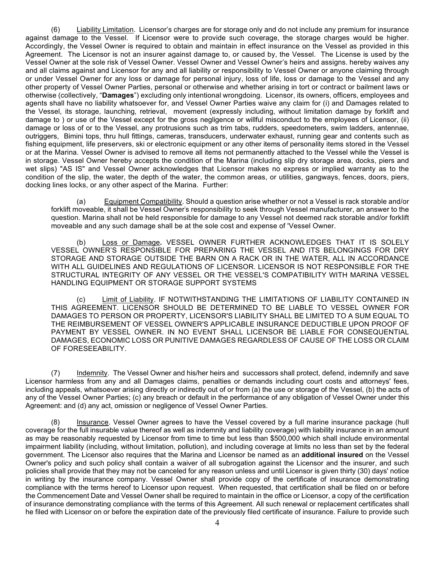(6) Liability Limitation. Licensor's charges are for storage only and do not include any premium for insurance against damage to the Vessel. If Licensor were to provide such coverage, the storage charges would be higher. Accordingly, the Vessel Owner is required to obtain and maintain in effect insurance on the Vessel as provided in this Agreement. The Licensor is not an insurer against damage to, or caused by, the Vessel. The License is used by the Vessel Owner at the sole risk of Vessel Owner. Vessel Owner and Vessel Owner's heirs and assigns. hereby waives any and all claims against and Licensor for any and all liability or responsibility to Vessel Owner or anyone claiming through or under Vessel Owner for any loss or damage for personal injury, loss of life, loss or damage to the Vessel and any other property of Vessel Owner Parties, personal or otherwise and whether arising in tort or contract or bailment laws or otherwise (collectively, "**Damages**") excluding only intentional wrongdoing. Licensor, its owners, officers, employees and agents shall have no liability whatsoever for, and Vessel Owner Parties waive any claim for (i) and Damages related to the Vessel, its storage, launching, retrieval, movement (expressly including, without limitation damage by forklift and damage to ) or use of the Vessel except for the gross negligence or willful misconduct to the employees of Licensor, (ii) damage or loss of or to the Vessel, any protrusions such as trim tabs, rudders, speedometers, swim ladders, antennae, outriggers, Bimini tops, thru hull fittings, cameras, transducers, underwater exhaust, running gear and contents such as fishing equipment, life preservers, ski or electronic equipment or any other items of personality items stored in the Vessel or at the Marina. Vessel Owner is advised to remove all items not permanently attached to the Vessel while the Vessel is in storage. Vessel Owner hereby accepts the condition of the Marina (including slip dry storage area, docks, piers and wet slips) "AS IS" and Vessel Owner acknowledges that Licensor makes no express or implied warranty as to the condition of the slip, the water, the depth of the water, the common areas, or utilities, gangways, fences, doors, piers, docking lines locks, or any other aspect of the Marina. Further:

(a) Equipment Compatibility. Should a question arise whether or not a Vessel is rack storable and/or forklift moveable, it shall be Vessel Owner's responsibility to seek through Vessel manufacturer, an answer to the question. Marina shall not be held responsible for damage to any Vessel not deemed rack storable and/or forklift moveable and any such damage shall be at the sole cost and expense of 'Vessel Owner.

(b) Loss or Damage**.** VESSEL OWNER FURTHER ACKNOWLEDGES THAT IT IS SOLELY VESSEL OWNER'S RESPONSIBLE FOR PREPARING THE VESSEL AND ITS BELONGINGS FOR DRY STORAGE AND STORAGE OUTSIDE THE BARN ON A RACK OR IN THE WATER, ALL IN ACCORDANCE WITH ALL GUIDELINES AND REGULATIONS OF LICENSOR. LICENSOR IS NOT RESPONSIBLE FOR THE STRUCTURAL INTEGRITY OF ANY VESSEL OR THE VESSEL'S COMPATIBILITY WITH MARINA VESSEL HANDLING EQUIPMENT OR STORAGE SUPPORT SYSTEMS

(c) Limit of Liability. IF NOTWITHSTANDING THE LIMITATIONS OF LIABILITY CONTAINED IN THIS AGREEMENT. LICENSOR SHOULD BE DETERMINED TO BE LIABLE TO VESSEL OWNER FOR DAMAGES TO PERSON OR PROPERTY, LICENSOR'S LIABILITY SHALL BE LIMITED TO A SUM EQUAL TO THE REIMBURSEMENT OF VESSEL OWNER'S APPLICABLE INSURANCE DEDUCTIBLE UPON PROOF OF PAYMENT BY VESSEL OWNER. IN NO EVENT SHALL LICENSOR BE LIABLE FOR CONSEQUENTIAL DAMAGES, ECONOMIC LOSS OR PUNITIVE DAMAGES REGARDLESS OF CAUSE OF THE LOSS OR CLAIM OF FORESEEABILITY.

(7) Indemnity. The Vessel Owner and his/her heirs and successors shall protect, defend, indemnify and save Licensor harmless from any and all Damages claims, penalties or demands including court costs and attorneys' fees, including appeals, whatsoever arising directly or indirectly out of or from (a) the use or storage of the Vessel, (b) the acts of any of the Vessel Owner Parties; (c) any breach or default in the performance of any obligation of Vessel Owner under this Agreement: and (d) any act, omission or negligence of Vessel Owner Parties.

(8) Insurance. Vessel Owner agrees to have the Vessel covered by a full marine insurance package (hull coverage for the full insurable value thereof as well as indemnity and liability coverage) with liability insurance in an amount as may be reasonably requested by Licensor from time to time but less than \$500,000 which shall include environmental impairment liability (including, without limitation, pollution), and including coverage at limits no less than set by the federal government. The Licensor also requires that the Marina and Licensor be named as an **additional insured** on the Vessel Owner's policy and such policy shall contain a waiver of all subrogation against the Licensor and the insurer, and such policies shall provide that they may not be canceled for any reason unless and until Licensor is given thirty (30) days' notice in writing by the insurance company. Vessel Owner shall provide copy of the certificate of insurance demonstrating compliance with the terms hereof to Licensor upon request. When requested, that certification shall be filed on or before the Commencement Date and Vessel Owner shall be required to maintain in the office or Licensor, a copy of the certification of insurance demonstrating compliance with the terms of this Agreement. All such renewal or replacement certificates shall he filed with Licensor on or before the expiration date of the previously filed certificate of insurance. Failure to provide such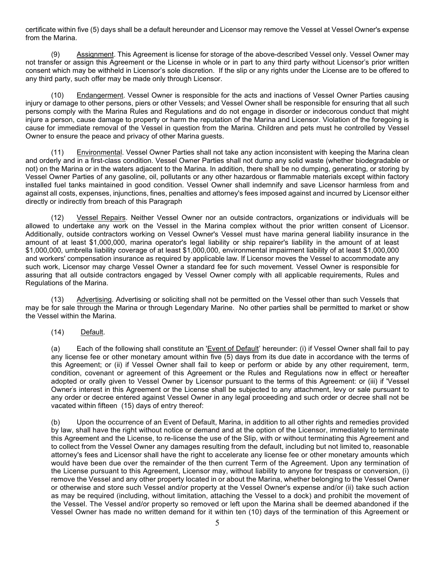certificate within five (5) days shall be a default hereunder and Licensor may remove the Vessel at Vessel Owner's expense from the Marina.

(9) Assignment. This Agreement is license for storage of the above-described Vessel only. Vessel Owner may not transfer or assign this Agreement or the License in whole or in part to any third party without Licensor's prior written consent which may be withheld in Licensor's sole discretion. If the slip or any rights under the License are to be offered to any third party, such offer may be made only through Licensor.

(10) Endangerment. Vessel Owner is responsible for the acts and inactions of Vessel Owner Parties causing injury or damage to other persons, piers or other Vessels; and Vessel Owner shall be responsible for ensuring that all such persons comply with the Marina Rules and Regulations and do not engage in disorder or indecorous conduct that might injure a person, cause damage to property or harm the reputation of the Marina and Licensor. Violation of the foregoing is cause for immediate removal of the Vessel in question from the Marina. Children and pets must he controlled by Vessel Owner to ensure the peace and privacy of other Marina guests.

(11) Environmental. Vessel Owner Parties shall not take any action inconsistent with keeping the Marina clean and orderly and in a first-class condition. Vessel Owner Parties shall not dump any solid waste (whether biodegradable or not) on the Marina or in the waters adjacent to the Marina. In addition, there shall be no dumping, generating, or storing by Vessel Owner Parties of any gasoline, oil, pollutants or any other hazardous or flammable materials except within factory installed fuel tanks maintained in good condition. Vessel Owner shall indemnify and save Licensor harmless from and against all costs, expenses, injunctions, fines, penalties and attorney's fees imposed against and incurred by Licensor either directly or indirectly from breach of this Paragraph

(12) Vessel Repairs. Neither Vessel Owner nor an outside contractors, organizations or individuals will be allowed to undertake any work on the Vessel in the Marina complex without the prior written consent of Licensor. Additionally, outside contractors working on Vessel Owner's Vessel must have marina general liability insurance in the amount of at least \$1,000,000, marina operator's legal liability or ship repairer's liability in the amount of at least \$1,000,000, umbrella liability coverage of at least \$1,000,000, environmental impairment liability of at least \$1,000,000 and workers' compensation insurance as required by applicable law. If Licensor moves the Vessel to accommodate any such work, Licensor may charge Vessel Owner a standard fee for such movement. Vessel Owner is responsible for assuring that all outside contractors engaged by Vessel Owner comply with all applicable requirements, Rules and Regulations of the Marina.

(13) Advertising. Advertising or soliciting shall not be permitted on the Vessel other than such Vessels that may be for sale through the Marina or through Legendary Marine. No other parties shall be permitted to market or show the Vessel within the Marina.

(14)Default.

(a) Each of the following shall constitute an 'Event of Default' hereunder: (i) if Vessel Owner shall fail to pay any license fee or other monetary amount within five (5) days from its due date in accordance with the terms of this Agreement; or (ii) if Vessel Owner shall fail to keep or perform or abide by any other requirement, term, condition, covenant or agreement of this Agreement or the Rules and Regulations now in effect or hereafter adopted or orally given to Vessel Owner by Licensor pursuant to the terms of this Agreement: or (iii) if 'Vessel Owner' s interest in this Agreement or the License shall be subjected to any attachment, levy or sale pursuant to any order or decree entered against Vessel Owner in any legal proceeding and such order or decree shall not be vacated within fifteen (15) days of entry thereof:

(b) Upon the occurrence of an Event of Default, Marina, in addition to all other rights and remedies provided by law, shall have the right without notice or demand and at the option of the Licensor, immediately to terminate this Agreement and the License, to re-license the use of the Slip, with or without terminating this Agreement and to collect from the Vessel Owner any damages resulting from the default, including but not limited to, reasonable attorney's fees and Licensor shall have the right to accelerate any license fee or other monetary amounts which would have been due over the remainder of the then current Term of the Agreement. Upon any termination of the License pursuant to this Agreement, Licensor may, without liability to anyone for trespass or conversion, (i) remove the Vessel and any other property located in or about the Marina, whether belonging to the Vessel Owner or otherwise and store such Vessel and/or property at the Vessel Owner's expense and/or (ii) take such action as may be required (including, without limitation, attaching the Vessel to a dock) and prohibit the movement of the Vessel. The Vessel and/or property so removed or left upon the Marina shall be deemed abandoned if the Vessel Owner has made no written demand for it within ten (10) days of the termination of this Agreement or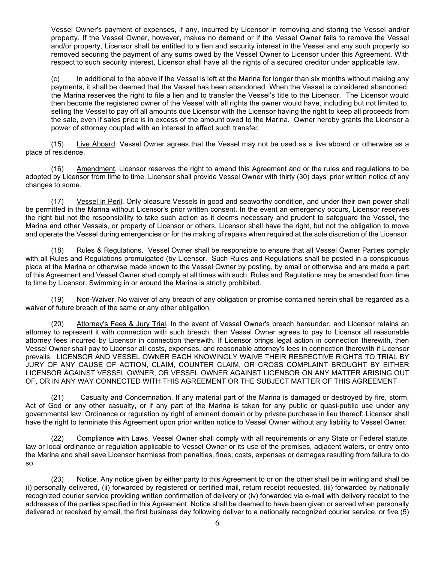Vessel Owner's payment of expenses, if any, incurred by Licensor in removing and storing the Vessel and/or property. If the Vessel Owner, however, makes no demand or if the Vessel Owner fails to remove the Vessel and/or property, Licensor shall be entitled to a lien and security interest in the Vessel and any such property so removed securing the payment of any sums owed by the Vessel Owner to Licensor under this Agreement. With respect to such security interest, Licensor shall have all the rights of a secured creditor under applicable law.

(c) In additional to the above if the Vessel is left at the Marina for longer than six months without making any payments, it shall be deemed that the Vessel has been abandoned. When the Vessel is considered abandoned, the Marina reserves the right to file a lien and to transfer the Vessel's title to the Licensor. The Licensor would then become the registered owner of the Vessel with all rights the owner would have, including but not limited to, selling the Vessel to pay off all amounts due Licensor with the Licensor having the right to keep all proceeds from the sale, even if sales price is in excess of the amount owed to the Marina. Owner hereby grants the Licensor a power of attorney coupled with an interest to affect such transfer.

(15) Live Aboard. Vessel Owner agrees that the Vessel may not be used as a live aboard or otherwise as a place of residence.

(16) Amendment. Licensor reserves the right to amend this Agreement and or the rules and regulations to be adopted by Licensor from time to time. Licensor shall provide Vessel Owner with thirty (30) days' prior written notice of any changes to some.

(17) Vessel in Peril. Only pleasure Vessels in good and seaworthy condition, and under their own power shall be permitted in the Marina without Licensor's prior written consent. In the event an emergency occurs, Licensor reserves the right but not the responsibility to take such action as it deems necessary and prudent to safeguard the Vessel, the Marina and other Vessels, or property of Licensor or others. Licensor shall have the right, but not the obligation to move and operate the Vessel during emergencies or for the making of repairs when required at the sole discretion of the Licensor.

(18) Rules & Regulations. Vessel Owner shall be responsible to ensure that all Vessel Owner Parties comply with all Rules and Regulations promulgated (by Licensor. Such Rules and Regulations shall be posted in a conspicuous place at the Marina or otherwise made known to the Vessel Owner by posting, by email or otherwise and are made a part of this Agreement and Vessel Owner shall comply at all times with such. Rules and Regulations may be amended from time to time by Licensor. Swimming in or around the Marina is strictly prohibited.

(19) Non-Waiver. No waiver of any breach of any obligation or promise contained herein shall be regarded as a waiver of future breach of the same or any other obligation.

(20) Attorney's Fees & Jury Trial. In the event of Vessel Owner's breach hereunder, and Licensor retains an attorney to represent it with connection with such breach, then Vessel Owner agrees to pay to Licensor all reasonable attorney fees incurred by Licensor in connection therewith. If Licensor brings legal action in connection therewith, then Vessel Owner shall pay to Licensor all costs, expenses, and reasonable attorney's lees in connection therewith if Licensor prevails. LICENSOR AND VESSEL OWNER EACH KNOWINGLY WAIVE THEIR RESPECTIVE RIGHTS TO TRIAL BY JURY OF ANY CAUSE OF ACTION, CLAIM, COUNTER CLAIM, OR CROSS COMPLAINT BROUGHT BY EITHER LICENSOR AGAINST VESSEL OWNER, OR VESSEL OWNER AGAINST LICENSOR ON ANY MATTER ARISING OUT OF, OR IN ANY WAY CONNECTED WITH THIS AGREEMENT OR THE SUBJECT MATTER OF THIS AGREEMENT

(21) Casualty and Condemnation. If any material part of the Marina is damaged or destroyed by fire, storm, Act of God or any other casualty, or if any part of the Marina is taken for any public or quasi-public use under any governmental law. Ordinance or regulation by right of eminent domain or by private purchase in lieu thereof; Licensor shall have the right to terminate this Agreement upon prior written notice to Vessel Owner without any liability to Vessel Owner.

(22) Compliance with Laws. Vessel Owner shall comply with all requirements or any State or Federal statute, law or local ordinance or regulation applicable to Vessel Owner or its use of the premises, adjacent waters, or entry onto the Marina and shall save Licensor harmless from penalties, fines, costs, expenses or damages resulting from failure to do so.

(23) Notice. Any notice given by either party to this Agreement to or on the other shall be in writing and shall be (i) personally delivered, (ii) forwarded by registered or certified mail, return receipt requested, (iii) forwarded by nationally recognized courier service providing written confirmation of delivery or (iv) forwarded via e-mail with delivery receipt to the addresses of the parties specified in this Agreement. Notice shall be deemed to have been given or served when personally delivered or received by email, the first business day following deliver to a nationally recognized courier service, or five (5)